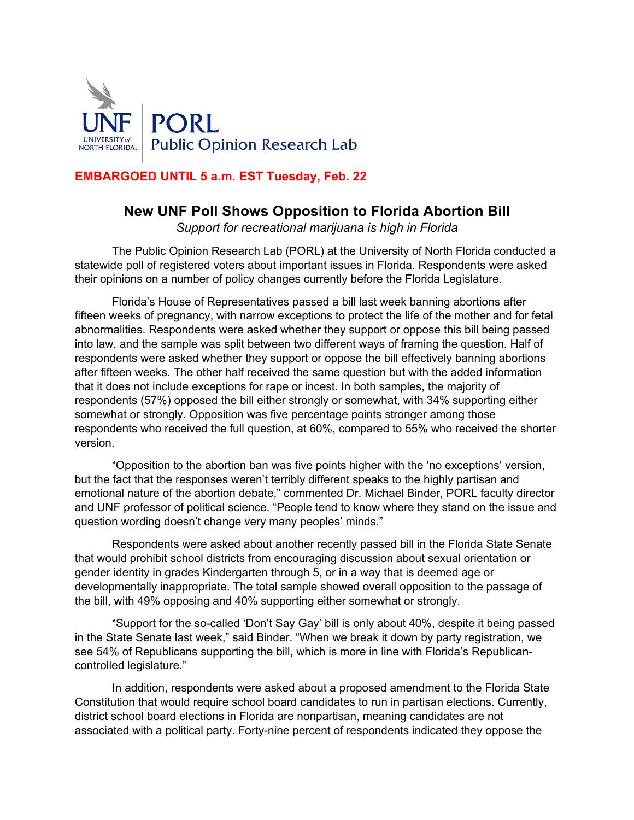

## **EMBARGOED UNTIL 5 a.m. EST Tuesday, Feb. 22**

# **New UNF Poll Shows Opposition to Florida Abortion Bill**

*Support for recreational marijuana is high in Florida*

The Public Opinion Research Lab (PORL) at the University of North Florida conducted a statewide poll of registered voters about important issues in Florida. Respondents were asked their opinions on a number of policy changes currently before the Florida Legislature.

Florida's House of Representatives passed a bill last week banning abortions after fifteen weeks of pregnancy, with narrow exceptions to protect the life of the mother and for fetal abnormalities. Respondents were asked whether they support or oppose this bill being passed into law, and the sample was split between two different ways of framing the question. Half of respondents were asked whether they support or oppose the bill effectively banning abortions after fifteen weeks. The other half received the same question but with the added information that it does not include exceptions for rape or incest. In both samples, the majority of respondents (57%) opposed the bill either strongly or somewhat, with 34% supporting either somewhat or strongly. Opposition was five percentage points stronger among those respondents who received the full question, at 60%, compared to 55% who received the shorter version.

"Opposition to the abortion ban was five points higher with the 'no exceptions' version, but the fact that the responses weren't terribly different speaks to the highly partisan and emotional nature of the abortion debate," commented Dr. Michael Binder, PORL faculty director and UNF professor of political science. "People tend to know where they stand on the issue and question wording doesn't change very many peoples' minds."

Respondents were asked about another recently passed bill in the Florida State Senate that would prohibit school districts from encouraging discussion about sexual orientation or gender identity in grades Kindergarten through 5, or in a way that is deemed age or developmentally inappropriate. The total sample showed overall opposition to the passage of the bill, with 49% opposing and 40% supporting either somewhat or strongly.

"Support for the so-called 'Don't Say Gay' bill is only about 40%, despite it being passed in the State Senate last week," said Binder. "When we break it down by party registration, we see 54% of Republicans supporting the bill, which is more in line with Florida's Republicancontrolled legislature."

In addition, respondents were asked about a proposed amendment to the Florida State Constitution that would require school board candidates to run in partisan elections. Currently, district school board elections in Florida are nonpartisan, meaning candidates are not associated with a political party. Forty-nine percent of respondents indicated they oppose the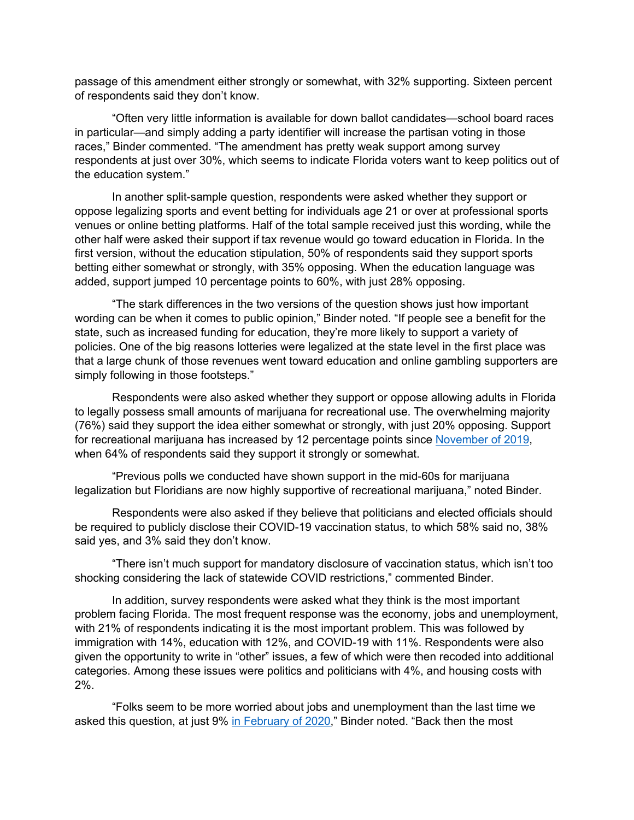passage of this amendment either strongly or somewhat, with 32% supporting. Sixteen percent of respondents said they don't know.

"Often very little information is available for down ballot candidates—school board races in particular—and simply adding a party identifier will increase the partisan voting in those races," Binder commented. "The amendment has pretty weak support among survey respondents at just over 30%, which seems to indicate Florida voters want to keep politics out of the education system."

In another split-sample question, respondents were asked whether they support or oppose legalizing sports and event betting for individuals age 21 or over at professional sports venues or online betting platforms. Half of the total sample received just this wording, while the other half were asked their support if tax revenue would go toward education in Florida. In the first version, without the education stipulation, 50% of respondents said they support sports betting either somewhat or strongly, with 35% opposing. When the education language was added, support jumped 10 percentage points to 60%, with just 28% opposing.

"The stark differences in the two versions of the question shows just how important wording can be when it comes to public opinion," Binder noted. "If people see a benefit for the state, such as increased funding for education, they're more likely to support a variety of policies. One of the big reasons lotteries were legalized at the state level in the first place was that a large chunk of those revenues went toward education and online gambling supporters are simply following in those footsteps."

Respondents were also asked whether they support or oppose allowing adults in Florida to legally possess small amounts of marijuana for recreational use. The overwhelming majority (76%) said they support the idea either somewhat or strongly, with just 20% opposing. Support for recreational marijuana has increased by 12 percentage points since November of 2019, when 64% of respondents said they support it strongly or somewhat.

"Previous polls we conducted have shown support in the mid-60s for marijuana legalization but Floridians are now highly supportive of recreational marijuana," noted Binder.

Respondents were also asked if they believe that politicians and elected officials should be required to publicly disclose their COVID-19 vaccination status, to which 58% said no, 38% said yes, and 3% said they don't know.

"There isn't much support for mandatory disclosure of vaccination status, which isn't too shocking considering the lack of statewide COVID restrictions," commented Binder.

In addition, survey respondents were asked what they think is the most important problem facing Florida. The most frequent response was the economy, jobs and unemployment, with 21% of respondents indicating it is the most important problem. This was followed by immigration with 14%, education with 12%, and COVID-19 with 11%. Respondents were also given the opportunity to write in "other" issues, a few of which were then recoded into additional categories. Among these issues were politics and politicians with 4%, and housing costs with 2%.

"Folks seem to be more worried about jobs and unemployment than the last time we asked this question, at just 9% in February of 2020," Binder noted. "Back then the most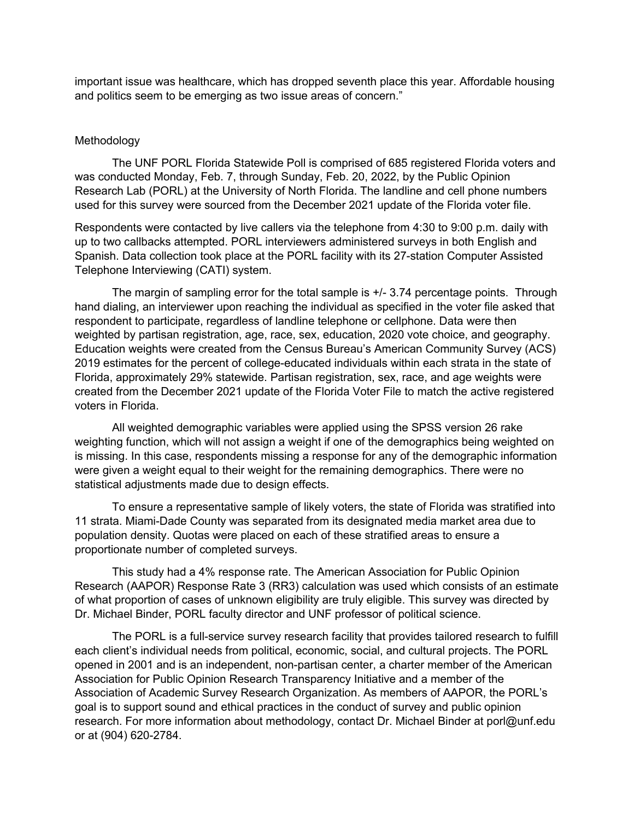important issue was healthcare, which has dropped seventh place this year. Affordable housing and politics seem to be emerging as two issue areas of concern."

#### Methodology

The UNF PORL Florida Statewide Poll is comprised of 685 registered Florida voters and was conducted Monday, Feb. 7, through Sunday, Feb. 20, 2022, by the Public Opinion Research Lab (PORL) at the University of North Florida. The landline and cell phone numbers used for this survey were sourced from the December 2021 update of the Florida voter file.

Respondents were contacted by live callers via the telephone from 4:30 to 9:00 p.m. daily with up to two callbacks attempted. PORL interviewers administered surveys in both English and Spanish. Data collection took place at the PORL facility with its 27-station Computer Assisted Telephone Interviewing (CATI) system.

The margin of sampling error for the total sample is +/- 3.74 percentage points. Through hand dialing, an interviewer upon reaching the individual as specified in the voter file asked that respondent to participate, regardless of landline telephone or cellphone. Data were then weighted by partisan registration, age, race, sex, education, 2020 vote choice, and geography. Education weights were created from the Census Bureau's American Community Survey (ACS) 2019 estimates for the percent of college-educated individuals within each strata in the state of Florida, approximately 29% statewide. Partisan registration, sex, race, and age weights were created from the December 2021 update of the Florida Voter File to match the active registered voters in Florida.

All weighted demographic variables were applied using the SPSS version 26 rake weighting function, which will not assign a weight if one of the demographics being weighted on is missing. In this case, respondents missing a response for any of the demographic information were given a weight equal to their weight for the remaining demographics. There were no statistical adjustments made due to design effects.

To ensure a representative sample of likely voters, the state of Florida was stratified into 11 strata. Miami-Dade County was separated from its designated media market area due to population density. Quotas were placed on each of these stratified areas to ensure a proportionate number of completed surveys.

This study had a 4% response rate. The American Association for Public Opinion Research (AAPOR) Response Rate 3 (RR3) calculation was used which consists of an estimate of what proportion of cases of unknown eligibility are truly eligible. This survey was directed by Dr. Michael Binder, PORL faculty director and UNF professor of political science.

The PORL is a full-service survey research facility that provides tailored research to fulfill each client's individual needs from political, economic, social, and cultural projects. The PORL opened in 2001 and is an independent, non-partisan center, a charter member of the American Association for Public Opinion Research Transparency Initiative and a member of the Association of Academic Survey Research Organization. As members of AAPOR, the PORL's goal is to support sound and ethical practices in the conduct of survey and public opinion research. For more information about methodology, contact Dr. Michael Binder at porl@unf.edu or at (904) 620-2784.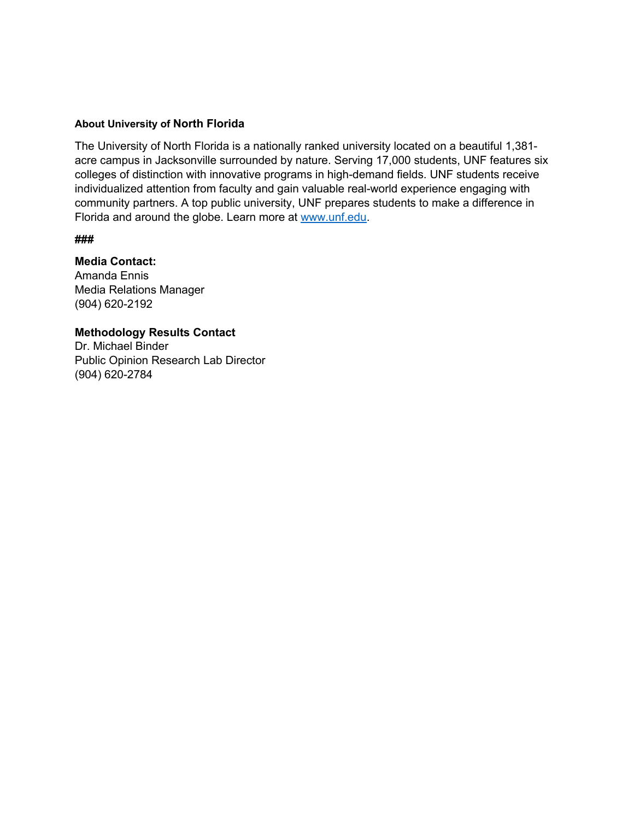#### **About University of North Florida**

The University of North Florida is a nationally ranked university located on a beautiful 1,381 acre campus in Jacksonville surrounded by nature. Serving 17,000 students, UNF features six colleges of distinction with innovative programs in high-demand fields. UNF students receive individualized attention from faculty and gain valuable real-world experience engaging with community partners. A top public university, UNF prepares students to make a difference in Florida and around the globe. Learn more at www.unf.edu.

#### **###**

### **Media Contact:**

Amanda Ennis Media Relations Manager (904) 620-2192

### **Methodology Results Contact**

Dr. Michael Binder Public Opinion Research Lab Director (904) 620-2784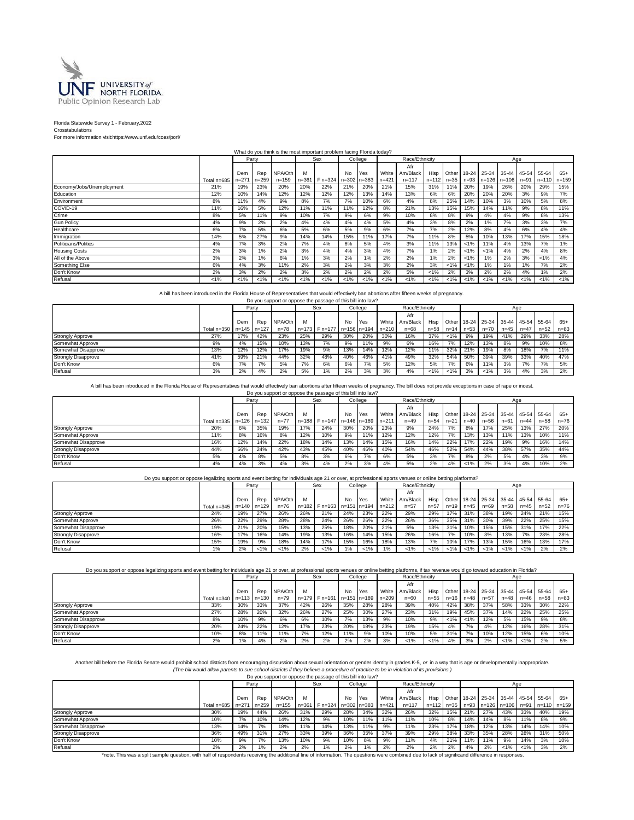

#### Florida Statewide Survey 1 - February,2022

Crosstabulations For more information visit:https://www.unf.edu/coas/porl/

|                           |             |           |           | What do you think is the most important problem facing Florida today? |         |               |                     |         |           |                |         |                |         |                                     |         |         |                 |         |
|---------------------------|-------------|-----------|-----------|-----------------------------------------------------------------------|---------|---------------|---------------------|---------|-----------|----------------|---------|----------------|---------|-------------------------------------|---------|---------|-----------------|---------|
|                           |             |           | Party     |                                                                       |         | Sex           |                     | College |           | Race/Ethnicity |         |                |         |                                     | Age     |         |                 |         |
|                           |             |           |           |                                                                       |         |               |                     |         |           | Afr            |         |                |         |                                     |         |         |                 |         |
|                           |             | Dem       | Rep       | NPA/Oth                                                               | м       |               | <b>No</b>           | Yes     | White     | Am/Black       |         | Hisp Other     |         | 18-24 25-34 35-44 45-54             |         |         | 55-64           | $65+$   |
|                           | Total n=685 | $n = 271$ | $n = 259$ | $n = 159$                                                             |         | n=361 F n=324 | $n = 302$ $n = 383$ |         | $n = 421$ | $n = 117$      |         | $n=112$ $n=35$ |         | $n=93$   $n=126$   $n=106$   $n=91$ |         |         | $n=110$ $n=159$ |         |
| Economy/Jobs/Unemployment | 21%         | 19%       | 23%       | 20%                                                                   | 20%     | 22%           | 21%                 | 20%     | 21%       | 15%            | 31%     | 11%            | 20%     | 19%                                 | 26%     | 20%     | 29%             | 15%     |
| Education                 | 12%         | 10%       | 14%       | 12%                                                                   | 12%     | 12%           | 12%                 | 13%     | 14%       | 13%            | 6%      | 6%             | 20%     | 20%                                 | 20%     | 3%      | 9%              | 7%      |
| Environment               | 8%          | 11%       | 4%        | 9%                                                                    | 8%      | 7%            | 7%                  | 10%     | 6%        | 4%             | 8%      | 25%            | 14%     | 10%                                 | 3%      | 10%     | 5%              | 8%      |
| COVID-19                  | 11%         | 16%       | 5%        | 12%                                                                   | 11%     | 11%           | 11%                 | 12%     | 8%        | 21%            | 13%     | 15%            | 15%     | 14%                                 | 11%     | 9%      | 8%              | 11%     |
| Crime                     | 8%          | 5%        | 11%       | 9%                                                                    | 10%     | 7%            | 9%                  | 6%      | 9%        | 10%            | 8%      | 8%             | 9%      | 4%                                  | 4%      | 9%      | 8%              | 13%     |
| <b>Gun Policy</b>         | 4%          | 9%        | 2%        | 2%                                                                    | 4%      | 4%            | 4%                  | 4%      | 5%        | 4%             | 3%      | 8%             | 2%      | 1%                                  | 7%      | 3%      | 3%              | 7%      |
| Healthcare                | 6%          | 7%        | 5%        | 6%                                                                    | 5%      | 6%            | 5%                  | 9%      | 6%        | 7%             | 7%      | 2%             | 12%     | 8%                                  | 4%      | 6%      | 4%              | 4%      |
| Immigration               | 14%         | 5%        | 27%       | 9%                                                                    | 14%     | 14%           | 15%                 | 11%     | 17%       | 7%             | 11%     | 8%             | 5%      | 10%                                 | 13%     | 17%     | 15%             | 18%     |
| Politicians/Politics      | 4%          | 7%        | 3%        | 2%                                                                    | 7%      | 4%            | 6%                  | 5%      | 4%        | 3%             | 11%     | 13%            | $< 1\%$ | 11%                                 | 4%      | 13%     | 7%              | 1%      |
| <b>Housing Costs</b>      | 2%          | 3%        | 1%        | 2%                                                                    | 3%      | 4%            | 4%                  | 3%      | 4%        | 7%             | 1%      | 2%             | $< 1\%$ | $< 1\%$                             | 4%      | 2%      | 4%              | 8%      |
| All of the Above          | 3%          | 2%        | 1%        | 6%                                                                    | 1%      | 3%            | 2%                  | 1%      | 2%        | 2%             | 1%      | 2%             | $< 1\%$ | 1%                                  | 2%      | 3%      | $< 1\%$         | 4%      |
| Something Else            | 6%          | 4%        | 3%        | 11%                                                                   | 2%      | 3%            | 2%                  | 3%      | 3%        | 2%             | 3%      | $< 1\%$        | $< 1\%$ | 1%                                  | 1%      | 1%      | 7%              | 2%      |
| Don't Know                | 2%          | 3%        | 2%        | 2%                                                                    | 3%      | 2%            | 2%                  | 2%      | 2%        | 5%             | $< 1\%$ | 2%             | 3%      | 2%                                  | 2%      | 4%      | 1%              | 2%      |
| Refusal                   | $< 1\%$     | $< 1\%$   | $< 1\%$   | $< 1\%$                                                               | $< 1\%$ | $< 1\%$       | $< 1\%$             | $< 1\%$ | $< 1\%$   | $< 1\%$        | $< 1\%$ | $< 1\%$        | $< 1\%$ | $< 1\%$                             | $< 1\%$ | $< 1\%$ | $< 1\%$         | $< 1\%$ |

A bill has been introduced in the Florida House of Representatives that would effectively ban abortions after fifteen weeks of pregnancy.<br>Do you support or oppose the passage of this bill into law?

|                            |                         |     |       | DO you support or oppose the passage or this bill little law! |     |                                 |     |         |           |                |         |         |                      |                                          |          |          |          |          |
|----------------------------|-------------------------|-----|-------|---------------------------------------------------------------|-----|---------------------------------|-----|---------|-----------|----------------|---------|---------|----------------------|------------------------------------------|----------|----------|----------|----------|
|                            |                         |     | Party |                                                               |     | <b>Sex</b>                      |     | College |           | Race/Ethnicity |         |         |                      |                                          |          | Age      |          |          |
|                            |                         |     |       |                                                               |     |                                 |     |         |           | Afr            |         |         |                      |                                          |          |          |          |          |
|                            |                         | Dem | Rep   | NPA/Oth                                                       | м   |                                 | No  | Yes     | White I   | Am/Black       |         |         |                      | Hisp Other 18-24 25-34 35-44 45-54 55-64 |          |          |          | $65+$    |
|                            | Total n=350 n=145 n=127 |     |       | $n = 78$                                                      |     | n=173   F n=177   n=156   n=194 |     |         | $n = 210$ | $n = 68$       |         |         | $n=58$ $n=14$ $n=53$ | $n = 70$                                 | $n = 45$ | $n = 47$ | $n = 52$ | $n = 83$ |
| <b>Strongly Approve</b>    | 27%                     | 17% | 42%   | 23%                                                           | 25% | 29%                             | 30% | 20%     | 30%       | 16%            | 37%     | $< 1\%$ | 9%                   | 19%                                      | 41%      | 29%      | 33%      | 28%      |
| Somewhat Approve           | 9%                      | 4%  | 15%   | 10%                                                           | 13% | 7%                              | 9%  | 11%     | 9%        | 6%             | 16%     | 7%      | 12%                  | 13%                                      | 8%       | 9%       | 10%      | 8%       |
| Somewhat Disapprove        | 13%                     | 12% | 12%   | 17%                                                           | 19% | 9%                              | 13% | 14%     | 12%       | 12%            | 11%     | 32%     | 21%                  | 19%                                      | 8%       | 18%      | 7%       | 11%      |
| <b>Strongly Disapprove</b> | 41%                     | 59% | 21%   | 44%                                                           | 32% | 48%                             | 40% | 46%     | 41%       | 49%            | 32%     | 54%     | 50%                  | 39%                                      | 39%      | 33%      | 40%      | 47%      |
| Don't Know                 | 6%                      | 7%  | 7%    | 5%                                                            | 7%  | 6%                              | 6%  | 7%      | 5%        | 12%            | 5%      | 7%      | 6%                   | 11%                                      | 3%       | 7%       | 7%       | 5%       |
| Refusal                    | 3%                      | 2%  | 4%    | 2%                                                            | 5%  | $1\%$                           | 2%  | 3%      | 3%        | 4%             | $< 1\%$ | $< 1\%$ | 3%                   | $< 1\%$                                  | 3%       | 4%       | 3%       | 2%       |

A bill has been introduced in the Florida House of Representatives that would effectively ban abortions after fifteen weeks of pregnancy. The bill does not provide exceptions in case of rape or incest.<br>Do you support or op

|                            |             |     | Party       |         |           | Sex                       |     | College |       | Race/Ethnicity |          |          |         |                         |          | Age      |             |          |
|----------------------------|-------------|-----|-------------|---------|-----------|---------------------------|-----|---------|-------|----------------|----------|----------|---------|-------------------------|----------|----------|-------------|----------|
|                            |             |     |             |         |           |                           |     |         |       | Afr            |          |          |         |                         |          |          |             |          |
|                            |             | Dem | Rep         | NPA/Oth | м         |                           | No  | Yes     | White | Am/Black       | Hisp     |          |         | Other 18-24 25-34 35-44 |          |          | 45-54 55-64 | $65+$    |
|                            | Total n=335 |     | n=126 n=132 | $n=77$  | $n = 188$ | F n=147 n=146 n=189 n=211 |     |         |       | $n = 49$       | $n = 54$ | $n = 21$ | $n=40$  | $n = 56$                | $n = 61$ | $n = 44$ | $n = 58$    | $n = 76$ |
| <b>Strongly Approve</b>    | 20%         | 6%  | 35%         | 19%     | 17%       | 24%                       | 30% | 20%     | 23%   | 9%             | 24%      | 7%       | 8%      | 17%                     | 25%      | 13%      | 27%         | 20%      |
| Somewhat Approve           | 11%         | 8%  | 16%         | 8%      | 12%       | 10%                       | 9%  | 11%     | 12%   | 12%            | 12%      | 7%       | 13%     | 13%                     | 11%      | 13%      | 10%         | 11%      |
| Somewhat Disapprove        | 16%         | 12% | 14%         | 22%     | 18%       | 14%                       | 13% | 14%     | 15%   | 16%            | 14%      | 22%      | 17%     | 22%                     | 19%      | 9%       | 16%         | 14%      |
| <b>Strongly Disapprove</b> | 44%         | 66% | 24%         | 42%     | 43%       | 45%                       | 40% | 46%     | 40%   | 54%            | 46%      | 52%      | 54%     | 44%                     | 38%      | 57%      | 35%         | 44%      |
| Don't Know                 | 5%          | 4%  | 8%          | 5%      | 8%        | 3%                        | 6%  | 7%      | 6%    | 5%             | 3%       | 7%       | 8%      | 2%                      | 5%       | 4%       | 3%          | 9%       |
| Refusal                    | 4%          | 4%  | 3%          | 4%      | 3%        | 4%                        | 2%  | 3%      | 4%    | 5%             | 2%       | 4%       | $< 1\%$ | 2%                      | 3%       | 4%       | 10%         | 2%       |

#### Do you support or oppose legalizing sports and event betting for individuals age 21 or over, at professional sports venues or online betting platforms?

|                            |                             |     | Party   |          |           | Sex              |     | College     |           | Race/Ethnicity |          |         |               |                                     |      | Age      |          |          |
|----------------------------|-----------------------------|-----|---------|----------|-----------|------------------|-----|-------------|-----------|----------------|----------|---------|---------------|-------------------------------------|------|----------|----------|----------|
|                            |                             |     |         |          |           |                  |     |             |           | Afr            |          |         |               |                                     |      |          |          |          |
|                            |                             | Dem | Rep     | NPA/Oth  |           |                  | No  | Yes         | White I   | Am/Black       | Hisp     |         |               | Other 18-24 25-34 35-44 45-54 55-64 |      |          |          | $65+$    |
|                            | Total n=345   n=140   n=129 |     |         | $n = 76$ | $n = 182$ | $Fn=163$ $n=151$ |     | $1 \ln 194$ | $n = 212$ | $n = 57$       | $n = 57$ |         | $n=19$ $n=45$ | $n = 69$                            | n=58 | $n = 45$ | $n = 52$ | $n = 76$ |
| <b>Strongly Approve</b>    | 24%                         | 19% | 27%     | 26%      | 26%       | 21%              | 24% | 23%         | 22%       | 29%            | 29%      | 17%     | 31%           | 38%                                 | 19%  | 24%      | 21%      | 15%      |
| Somewhat Approve           | 26%                         | 22% | 29%     | 28%      | 28%       | 24%              | 26% | 26%         | 22%       | 26%            | 36%      | 35%     | 31%           | 30%                                 | 39%  | 22%      | 25%      | 15%      |
| Somewhat Disapprove        | 19%                         | 21% | 20%     | 15%      | 13%       | 25%              | 18% | 20%         | 21%       | 5%             | 13%      | 31%     | 10%           | 15%                                 | 15%  | 31%      | 17%      | 22%      |
| <b>Strongly Disapprove</b> | 16%                         | 17% | 16%     | 14%      | 19%       | 13%              | 16% | 14%         | 15%       | 26%            | 16%      | 7%      | 10%           | 3%                                  | 13%  | 7%       | 23%      | 28%      |
| Don't Know                 | 15%                         | 19% | 9%      | 18%      | 14%       | 17%              | 15% | 16%         | 18%       | 13%            | 7%       | 10%     | 17%           | 13%                                 | 15%  | 16%      | 13%      | 17%      |
| Refusal                    | $1\%$                       | 2%  | $< 1\%$ | $< 1\%$  | 2%        | $< 1\%$          | 1%  | $< 1\%$     | $1\%$     | $< 1\%$        | $< 1\%$  | $< 1\%$ | $< 1\%$       | $< 1\%$                             | < 1% | < 1%     | 2%       | 2%       |

Do you support or oppose legalizing sports and event betting for individuals age 21 or over, at professional sports venues or online betting platforms, if tax revenue would go toward education in Florida?

|                            |                             | Party |     |          |     | Sex          |           | College   |              | Race/Ethnicity |          |         |               |                         | Age      |          |          |          |
|----------------------------|-----------------------------|-------|-----|----------|-----|--------------|-----------|-----------|--------------|----------------|----------|---------|---------------|-------------------------|----------|----------|----------|----------|
|                            |                             |       |     |          |     |              |           |           |              | Afr            |          |         |               |                         |          |          |          |          |
|                            |                             | Dem   | Rep | NPA/Oth  |     |              | No        | Yes       | <b>White</b> | Am/Black       | Hisp     |         | Other 18-24   | 25-34 35-44 45-54 55-64 |          |          |          | $65+$    |
|                            | Total n=340   n=113   n=130 |       |     | $n = 79$ |     | n=179 Fn=161 | $n = 151$ | $n = 189$ | $n = 209$    | $n = 60$       | $n = 55$ |         | $n=16$ $n=48$ | $n=57$                  | $n = 48$ | $n = 46$ | $n = 58$ | $n = 83$ |
| <b>Strongly Approve</b>    | 33%                         | 30%   | 33% | 37%      | 42% | 26%          | 35%       | 28%       | 28%          | 39%            | 40%      | 42%     | 38%           | 37%                     | 58%      | 33%      | 30%      | 22%      |
| Somewhat Approve           | 27%                         | 28%   | 20% | 32%      | 26% | 27%          | 25%       | 30%       | 27%          | 23%            | 31%      | 19%     | 45%           | 37%                     | 14%      | 22%      | 25%      | 25%      |
| Somewhat Disapprove        | 8%                          | 10%   | 9%  | 6%       | 6%  | 10%          | 7%        | 13%       | 9%           | 10%            | 9%       | $< 1\%$ | $< 1\%$       | 12%                     | 5%       | 15%      | 9%       | 8%       |
| <b>Strongly Disapprove</b> | 20%                         | 24%   | 22% | 12%      | 17% | 23%          | 20%       | 18%       | 23%          | 19%            | 15%      | 4%      | 7%            | 4%                      | 12%      | 16%      | 28%      | 31%      |
| Don't Know                 | 10%                         | 8%    | 11% | 11%      | 7%  | 12%          | 11%       | 9%        | 10%          | 10%            | 5%       | 31%     | 7%            | 10%                     | 12%      | 15%      | 6%       | 10%      |
| Refusal                    | 2%                          | 1%    | 4%  | 2%       | 2%  | 2%           | 2%        | 2%        | 3%           | $< 1\%$        | $< 1\%$  | 4%      | 3%            | 2%                      | $< 1\%$  | < 1%     | 2%       | 5%       |

.Another bill before the Florida Senate would prohibit school districts from encouraging discussion about sexual orientation or gender identity in grades K-5, or in a way that is age or developmentally inappropriate.<br>The b

|                            |             |         |           |           |     | Do you support or oppose the passage of this bill into law? |     |         |           |                |      |     |     |     |                                  |         |                                     |       |
|----------------------------|-------------|---------|-----------|-----------|-----|-------------------------------------------------------------|-----|---------|-----------|----------------|------|-----|-----|-----|----------------------------------|---------|-------------------------------------|-------|
|                            |             |         | Party     |           |     | Sex                                                         |     | College |           | Race/Ethnicity |      |     |     |     | Age                              |         |                                     |       |
|                            |             |         |           |           |     |                                                             |     |         |           | Afr            |      |     |     |     |                                  |         |                                     |       |
|                            |             | Dem     | Rep       | NPA/Oth   |     |                                                             | No  | Yes     | White     | Am/Black       | Hisp |     |     |     |                                  |         | Other 18-24 25-34 35-44 45-54 55-64 | $65+$ |
|                            | Total n=685 | $n=27'$ | $n = 259$ | $n = 155$ |     | n=361 F n=324 n=302 n=383                                   |     |         | $n = 421$ | $n = 117$      |      |     |     |     | n=112 n=35 n=93 n=126 n=106 n=91 |         | $n=110$ $n=159$                     |       |
| Strongly Approve           | 30%         | 19%     | 44%       | 26%       | 31% | 29%                                                         | 28% | 34%     | 32%       | 26%            | 32%  | 15% | 21% | 27% | 43%                              | 33%     | 40%                                 | 19%   |
| Somewhat Approve           | 10%         | 7%      | 10%       | 14%       | 12% | 9%                                                          | 10% | 11%     | 11%       | 11%            | 10%  | 8%  | 14% | 14% | 8%                               | 11%     | 8%                                  | 9%    |
| Somewhat Disapprove        | 13%         | 14%     | 7%        | 18%       | 11% | 14%                                                         | 13% | 11%     | 9%        | 11%            | 23%  | 17% | 18% | 12% | 13%                              | 14%     | 14%                                 | 10%   |
| <b>Strongly Disapprove</b> | 36%         | 49%     | 31%       | 27%       | 33% | 39%                                                         | 36% | 35%     | 37%       | 39%            | 29%  | 38% | 33% | 35% | 28%                              | 28%     | 31%                                 | 50%   |
| Don't Know                 | 10%         | 9%      | 7%        | 13%       | 10% | 9%                                                          | 10% | 8%      | 9%        | 11%            | 4%   | 21% | 11% | 11% | 9%                               | 14%     | 3%                                  | 10%   |
| Refusal                    | 2%          | 2%      | 1%        | 2%        | 2%  | 1%                                                          | 2%  | 1%      | 2%        | 2%             | 2%   | 2%  | 4%  | 2%  | $< 1\%$                          | $< 1\%$ | 3%                                  | 2%    |
|                            |             |         |           |           |     |                                                             |     |         |           |                |      |     |     |     |                                  |         |                                     |       |

\*note. This was a split sample question, with half of respondents receiving the additional line of information. The questions were combined due to lack of significand difference in responses.